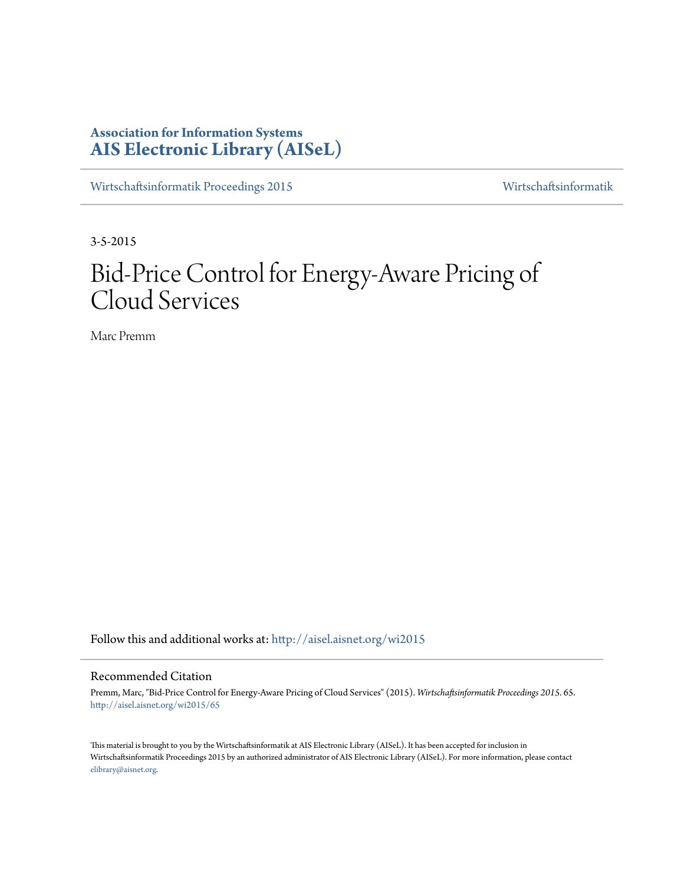# **Association for Information Systems [AIS Electronic Library \(AISeL\)](http://aisel.aisnet.org?utm_source=aisel.aisnet.org%2Fwi2015%2F65&utm_medium=PDF&utm_campaign=PDFCoverPages)**

[Wirtschaftsinformatik Proceedings 2015](http://aisel.aisnet.org/wi2015?utm_source=aisel.aisnet.org%2Fwi2015%2F65&utm_medium=PDF&utm_campaign=PDFCoverPages) [Wirtschaftsinformatik](http://aisel.aisnet.org/wi?utm_source=aisel.aisnet.org%2Fwi2015%2F65&utm_medium=PDF&utm_campaign=PDFCoverPages)

3-5-2015

# Bid-Price Control for Energy-Aware Pricing of Cloud Services

Marc Premm

Follow this and additional works at: [http://aisel.aisnet.org/wi2015](http://aisel.aisnet.org/wi2015?utm_source=aisel.aisnet.org%2Fwi2015%2F65&utm_medium=PDF&utm_campaign=PDFCoverPages)

# Recommended Citation

Premm, Marc, "Bid-Price Control for Energy-Aware Pricing of Cloud Services" (2015). *Wirtschaftsinformatik Proceedings 2015*. 65. [http://aisel.aisnet.org/wi2015/65](http://aisel.aisnet.org/wi2015/65?utm_source=aisel.aisnet.org%2Fwi2015%2F65&utm_medium=PDF&utm_campaign=PDFCoverPages)

This material is brought to you by the Wirtschaftsinformatik at AIS Electronic Library (AISeL). It has been accepted for inclusion in Wirtschaftsinformatik Proceedings 2015 by an authorized administrator of AIS Electronic Library (AISeL). For more information, please contact [elibrary@aisnet.org.](mailto:elibrary@aisnet.org%3E)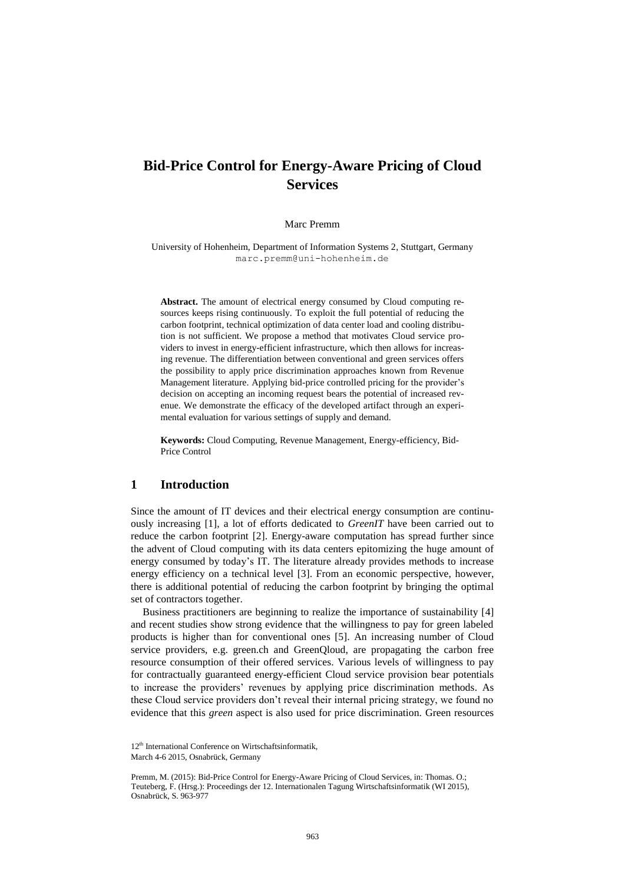# **Bid-Price Control for Energy-Aware Pricing of Cloud Services**

### Marc Premm

University of Hohenheim, Department of Information Systems 2, Stuttgart, Germany marc.premm@uni-hohenheim.de

**Abstract.** The amount of electrical energy consumed by Cloud computing resources keeps rising continuously. To exploit the full potential of reducing the carbon footprint, technical optimization of data center load and cooling distribution is not sufficient. We propose a method that motivates Cloud service providers to invest in energy-efficient infrastructure, which then allows for increasing revenue. The differentiation between conventional and green services offers the possibility to apply price discrimination approaches known from Revenue Management literature. Applying bid-price controlled pricing for the provider's decision on accepting an incoming request bears the potential of increased revenue. We demonstrate the efficacy of the developed artifact through an experimental evaluation for various settings of supply and demand.

**Keywords:** Cloud Computing, Revenue Management, Energy-efficiency, Bid-Price Control

# **1 Introduction**

Since the amount of IT devices and their electrical energy consumption are continuously increasing [\[1\]](#page-14-0), a lot of efforts dedicated to *GreenIT* have been carried out to reduce the carbon footprint [\[2\]](#page-14-1). Energy-aware computation has spread further since the advent of Cloud computing with its data centers epitomizing the huge amount of energy consumed by today's IT. The literature already provides methods to increase energy efficiency on a technical level [\[3\]](#page-14-2). From an economic perspective, however, there is additional potential of reducing the carbon footprint by bringing the optimal set of contractors together.

Business practitioners are beginning to realize the importance of sustainability [\[4\]](#page-14-3) and recent studies show strong evidence that the willingness to pay for green labeled products is higher than for conventional ones [\[5\]](#page-14-4). An increasing number of Cloud service providers, e.g. green.ch and GreenQloud, are propagating the carbon free resource consumption of their offered services. Various levels of willingness to pay for contractually guaranteed energy-efficient Cloud service provision bear potentials to increase the providers' revenues by applying price discrimination methods. As these Cloud service providers don't reveal their internal pricing strategy, we found no evidence that this *green* aspect is also used for price discrimination. Green resources

<sup>12&</sup>lt;sup>th</sup> International Conference on Wirtschaftsinformatik, March 4-6 2015, Osnabrück, Germany

Premm, M. (2015): Bid-Price Control for Energy-Aware Pricing of Cloud Services, in: Thomas. O.; Teuteberg, F. (Hrsg.): Proceedings der 12. Internationalen Tagung Wirtschaftsinformatik (WI 2015), Osnabrück, S. 963-977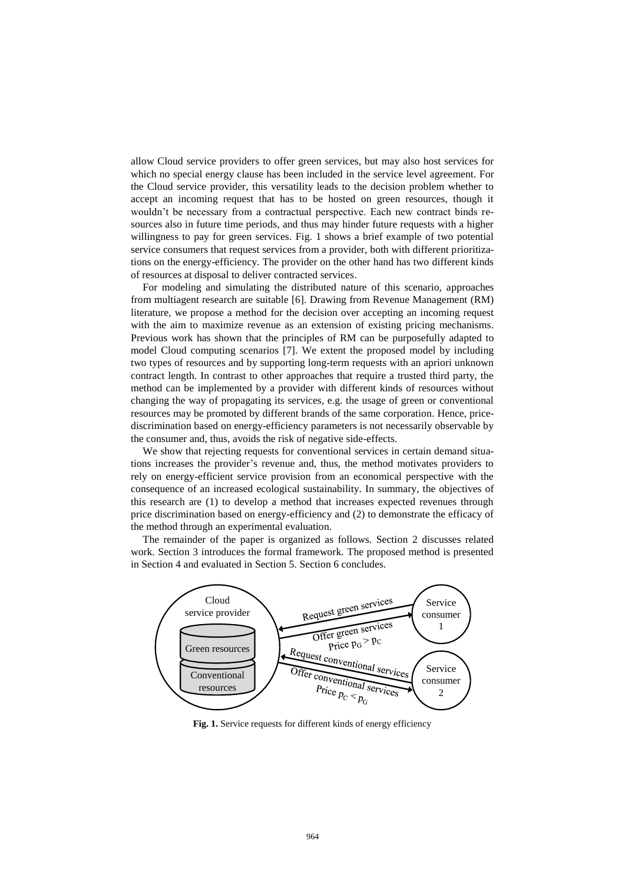allow Cloud service providers to offer green services, but may also host services for which no special energy clause has been included in the service level agreement. For the Cloud service provider, this versatility leads to the decision problem whether to accept an incoming request that has to be hosted on green resources, though it wouldn't be necessary from a contractual perspective. Each new contract binds resources also in future time periods, and thus may hinder future requests with a higher willingness to pay for green services. Fig. 1 shows a brief example of two potential service consumers that request services from a provider, both with different prioritizations on the energy-efficiency. The provider on the other hand has two different kinds of resources at disposal to deliver contracted services.

For modeling and simulating the distributed nature of this scenario, approaches from multiagent research are suitable [\[6\]](#page-14-5). Drawing from Revenue Management (RM) literature, we propose a method for the decision over accepting an incoming request with the aim to maximize revenue as an extension of existing pricing mechanisms. Previous work has shown that the principles of RM can be purposefully adapted to model Cloud computing scenarios [\[7\]](#page-14-6). We extent the proposed model by including two types of resources and by supporting long-term requests with an apriori unknown contract length. In contrast to other approaches that require a trusted third party, the method can be implemented by a provider with different kinds of resources without changing the way of propagating its services, e.g. the usage of green or conventional resources may be promoted by different brands of the same corporation. Hence, pricediscrimination based on energy-efficiency parameters is not necessarily observable by the consumer and, thus, avoids the risk of negative side-effects.

We show that rejecting requests for conventional services in certain demand situations increases the provider's revenue and, thus, the method motivates providers to rely on energy-efficient service provision from an economical perspective with the consequence of an increased ecological sustainability. In summary, the objectives of this research are (1) to develop a method that increases expected revenues through price discrimination based on energy-efficiency and (2) to demonstrate the efficacy of the method through an experimental evaluation.

The remainder of the paper is organized as follows. Section 2 discusses related work. Section 3 introduces the formal framework. The proposed method is presented in Section 4 and evaluated in Section 5. Section 6 concludes.



**Fig. 1.** Service requests for different kinds of energy efficiency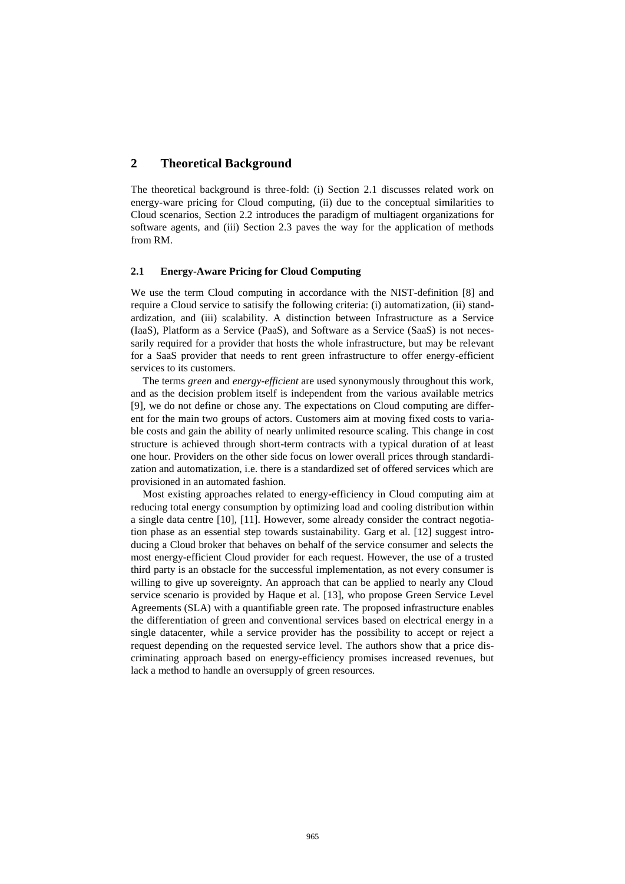# **2 Theoretical Background**

The theoretical background is three-fold: (i) Section [2.1](#page-3-0) discusses related work on energy-ware pricing for Cloud computing, (ii) due to the conceptual similarities to Cloud scenarios, Section [2.2](#page-4-0) introduces the paradigm of multiagent organizations for software agents, and (iii) Section [2.3](#page-5-0) paves the way for the application of methods from RM.

#### <span id="page-3-0"></span>**2.1 Energy-Aware Pricing for Cloud Computing**

We use the term Cloud computing in accordance with the NIST-definition [\[8\]](#page-14-7) and require a Cloud service to satisify the following criteria: (i) automatization, (ii) standardization, and (iii) scalability. A distinction between Infrastructure as a Service (IaaS), Platform as a Service (PaaS), and Software as a Service (SaaS) is not necessarily required for a provider that hosts the whole infrastructure, but may be relevant for a SaaS provider that needs to rent green infrastructure to offer energy-efficient services to its customers.

The terms *green* and *energy-efficient* are used synonymously throughout this work, and as the decision problem itself is independent from the various available metrics [\[9\]](#page-14-8), we do not define or chose any. The expectations on Cloud computing are different for the main two groups of actors. Customers aim at moving fixed costs to variable costs and gain the ability of nearly unlimited resource scaling. This change in cost structure is achieved through short-term contracts with a typical duration of at least one hour. Providers on the other side focus on lower overall prices through standardization and automatization, i.e. there is a standardized set of offered services which are provisioned in an automated fashion.

Most existing approaches related to energy-efficiency in Cloud computing aim at reducing total energy consumption by optimizing load and cooling distribution within a single data centre [\[10\]](#page-14-9), [\[11\]](#page-14-10). However, some already consider the contract negotiation phase as an essential step towards sustainability. Garg et al. [\[12\]](#page-15-0) suggest introducing a Cloud broker that behaves on behalf of the service consumer and selects the most energy-efficient Cloud provider for each request. However, the use of a trusted third party is an obstacle for the successful implementation, as not every consumer is willing to give up sovereignty. An approach that can be applied to nearly any Cloud service scenario is provided by Haque et al. [\[13\]](#page-15-1), who propose Green Service Level Agreements (SLA) with a quantifiable green rate. The proposed infrastructure enables the differentiation of green and conventional services based on electrical energy in a single datacenter, while a service provider has the possibility to accept or reject a request depending on the requested service level. The authors show that a price discriminating approach based on energy-efficiency promises increased revenues, but lack a method to handle an oversupply of green resources.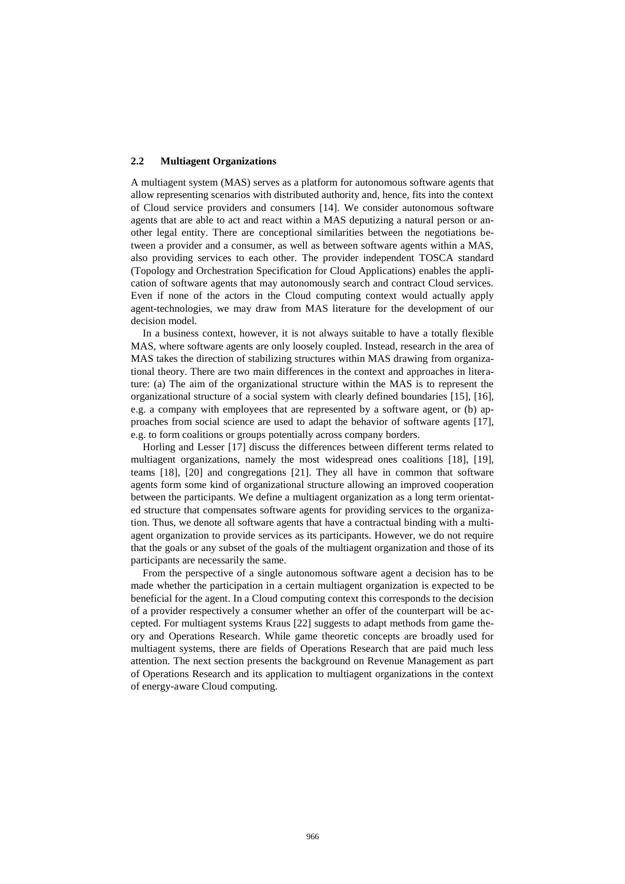#### <span id="page-4-0"></span>**2.2 Multiagent Organizations**

A multiagent system (MAS) serves as a platform for autonomous software agents that allow representing scenarios with distributed authority and, hence, fits into the context of Cloud service providers and consumers [\[14\]](#page-15-2). We consider autonomous software agents that are able to act and react within a MAS deputizing a natural person or another legal entity. There are conceptional similarities between the negotiations between a provider and a consumer, as well as between software agents within a MAS, also providing services to each other. The provider independent TOSCA standard (Topology and Orchestration Specification for Cloud Applications) enables the application of software agents that may autonomously search and contract Cloud services. Even if none of the actors in the Cloud computing context would actually apply agent-technologies, we may draw from MAS literature for the development of our decision model.

In a business context, however, it is not always suitable to have a totally flexible MAS, where software agents are only loosely coupled. Instead, research in the area of MAS takes the direction of stabilizing structures within MAS drawing from organizational theory. There are two main differences in the context and approaches in literature: (a) The aim of the organizational structure within the MAS is to represent the organizational structure of a social system with clearly defined boundaries [\[15\]](#page-15-3), [\[16\]](#page-15-4), e.g. a company with employees that are represented by a software agent, or (b) approaches from social science are used to adapt the behavior of software agents [\[17\]](#page-15-5), e.g. to form coalitions or groups potentially across company borders.

Horling and Lesser [\[17\]](#page-15-5) discuss the differences between different terms related to multiagent organizations, namely the most widespread ones coalitions [\[18\]](#page-15-6), [\[19\]](#page-15-7), teams [\[18\]](#page-15-6), [\[20\]](#page-15-8) and congregations [\[21\]](#page-15-9). They all have in common that software agents form some kind of organizational structure allowing an improved cooperation between the participants. We define a multiagent organization as a long term orientated structure that compensates software agents for providing services to the organization. Thus, we denote all software agents that have a contractual binding with a multiagent organization to provide services as its participants. However, we do not require that the goals or any subset of the goals of the multiagent organization and those of its participants are necessarily the same.

From the perspective of a single autonomous software agent a decision has to be made whether the participation in a certain multiagent organization is expected to be beneficial for the agent. In a Cloud computing context this corresponds to the decision of a provider respectively a consumer whether an offer of the counterpart will be accepted. For multiagent systems Kraus [\[22\]](#page-15-10) suggests to adapt methods from game theory and Operations Research. While game theoretic concepts are broadly used for multiagent systems, there are fields of Operations Research that are paid much less attention. The next section presents the background on Revenue Management as part of Operations Research and its application to multiagent organizations in the context of energy-aware Cloud computing.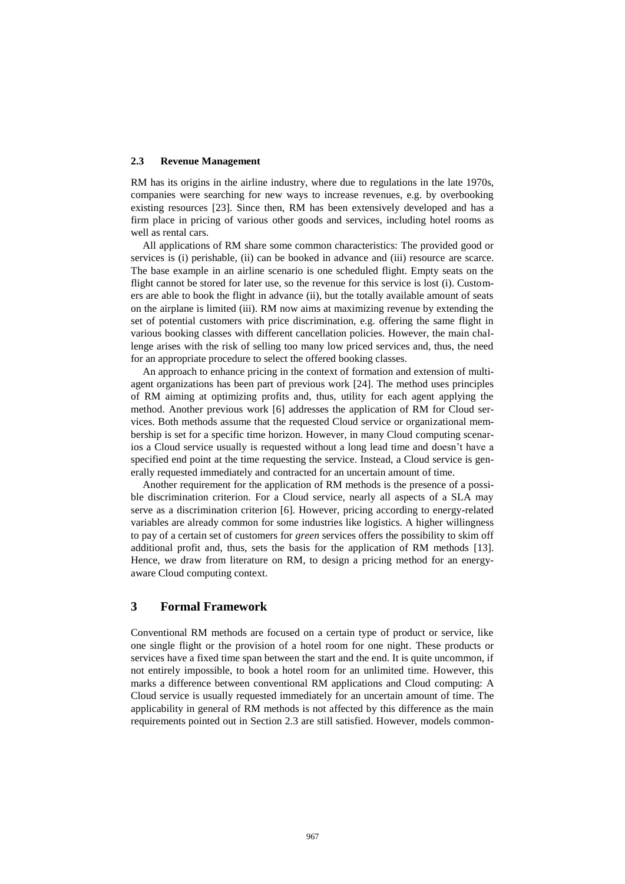#### <span id="page-5-0"></span>**2.3 Revenue Management**

RM has its origins in the airline industry, where due to regulations in the late 1970s, companies were searching for new ways to increase revenues, e.g. by overbooking existing resources [\[23\]](#page-15-11). Since then, RM has been extensively developed and has a firm place in pricing of various other goods and services, including hotel rooms as well as rental cars.

All applications of RM share some common characteristics: The provided good or services is (i) perishable, (ii) can be booked in advance and (iii) resource are scarce. The base example in an airline scenario is one scheduled flight. Empty seats on the flight cannot be stored for later use, so the revenue for this service is lost (i). Customers are able to book the flight in advance (ii), but the totally available amount of seats on the airplane is limited (iii). RM now aims at maximizing revenue by extending the set of potential customers with price discrimination, e.g. offering the same flight in various booking classes with different cancellation policies. However, the main challenge arises with the risk of selling too many low priced services and, thus, the need for an appropriate procedure to select the offered booking classes.

An approach to enhance pricing in the context of formation and extension of multiagent organizations has been part of previous work [\[24\]](#page-15-12). The method uses principles of RM aiming at optimizing profits and, thus, utility for each agent applying the method. Another previous work [\[6\]](#page-14-5) addresses the application of RM for Cloud services. Both methods assume that the requested Cloud service or organizational membership is set for a specific time horizon. However, in many Cloud computing scenarios a Cloud service usually is requested without a long lead time and doesn't have a specified end point at the time requesting the service. Instead, a Cloud service is generally requested immediately and contracted for an uncertain amount of time.

Another requirement for the application of RM methods is the presence of a possible discrimination criterion. For a Cloud service, nearly all aspects of a SLA may serve as a discrimination criterion [\[6\]](#page-14-5). However, pricing according to energy-related variables are already common for some industries like logistics. A higher willingness to pay of a certain set of customers for *green* services offers the possibility to skim off additional profit and, thus, sets the basis for the application of RM methods [\[13\]](#page-15-1). Hence, we draw from literature on RM, to design a pricing method for an energyaware Cloud computing context.

# **3 Formal Framework**

Conventional RM methods are focused on a certain type of product or service, like one single flight or the provision of a hotel room for one night. These products or services have a fixed time span between the start and the end. It is quite uncommon, if not entirely impossible, to book a hotel room for an unlimited time. However, this marks a difference between conventional RM applications and Cloud computing: A Cloud service is usually requested immediately for an uncertain amount of time. The applicability in general of RM methods is not affected by this difference as the main requirements pointed out in Section [2.3](#page-5-0) are still satisfied. However, models common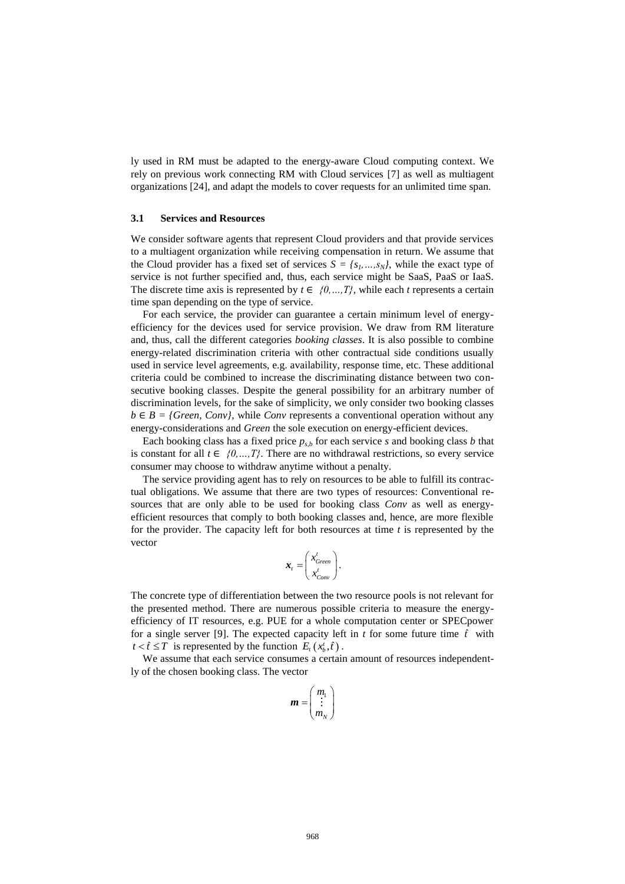ly used in RM must be adapted to the energy-aware Cloud computing context. We rely on previous work connecting RM with Cloud services [\[7\]](#page-14-6) as well as multiagent organizations [\[24\]](#page-15-12), and adapt the models to cover requests for an unlimited time span.

#### **3.1 Services and Resources**

We consider software agents that represent Cloud providers and that provide services to a multiagent organization while receiving compensation in return. We assume that the Cloud provider has a fixed set of services  $S = \{s_1, \ldots, s_N\}$ , while the exact type of service is not further specified and, thus, each service might be SaaS, PaaS or IaaS. The discrete time axis is represented by  $t \in \{0, ..., T\}$ , while each *t* represents a certain time span depending on the type of service.

For each service, the provider can guarantee a certain minimum level of energyefficiency for the devices used for service provision. We draw from RM literature and, thus, call the different categories *booking classes*. It is also possible to combine energy-related discrimination criteria with other contractual side conditions usually used in service level agreements, e.g. availability, response time, etc. These additional criteria could be combined to increase the discriminating distance between two consecutive booking classes. Despite the general possibility for an arbitrary number of discrimination levels, for the sake of simplicity, we only consider two booking classes  $b \in B = \{Green, Conv\}$ , while *Conv* represents a conventional operation without any energy-considerations and *Green* the sole execution on energy-efficient devices.

Each booking class has a fixed price  $p_{s,b}$  for each service *s* and booking class *b* that is constant for all  $t \in \{0, ..., T\}$ . There are no withdrawal restrictions, so every service consumer may choose to withdraw anytime without a penalty.

The service providing agent has to rely on resources to be able to fulfill its contractual obligations. We assume that there are two types of resources: Conventional resources that are only able to be used for booking class *Conv* as well as energyefficient resources that comply to both booking classes and, hence, are more flexible for the provider. The capacity left for both resources at time *t* is represented by the vector

$$
\boldsymbol{x}_{t} = \begin{pmatrix} x_{Green}^{t} \\ x_{Conv}^{t} \end{pmatrix}.
$$

The concrete type of differentiation between the two resource pools is not relevant for the presented method. There are numerous possible criteria to measure the energyefficiency of IT resources, e.g. PUE for a whole computation center or SPECpower for a single server [\[9\]](#page-14-8). The expected capacity left in  $t$  for some future time  $\hat{t}$  with  $t < \hat{t} \leq T$  is represented by the function  $E_t(x_b^t, \hat{t})$ .

We assume that each service consumes a certain amount of resources independently of the chosen booking class. The vector

$$
\boldsymbol{m} = \begin{pmatrix} m_1 \\ \vdots \\ m_N \end{pmatrix}
$$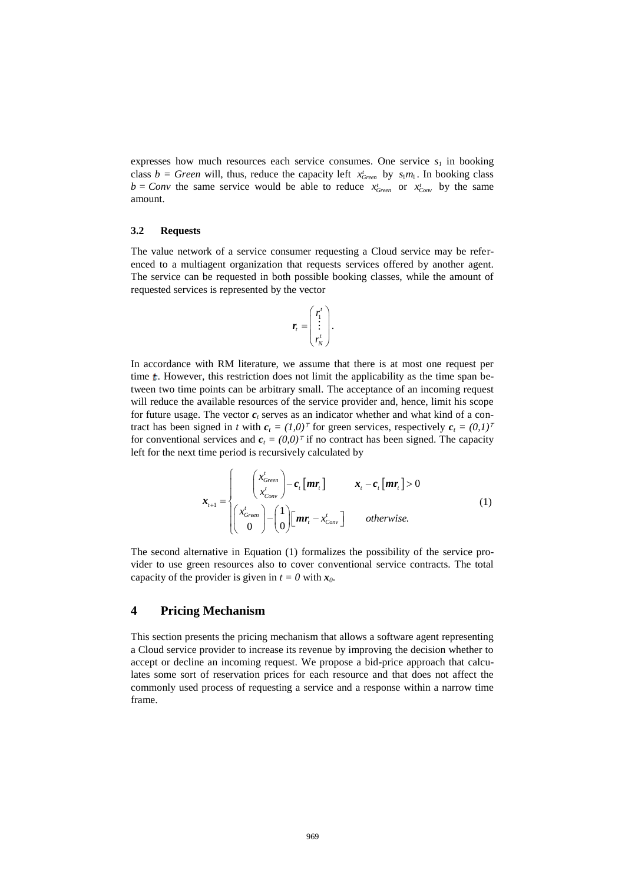expresses how much resources each service consumes. One service  $s_i$  in booking class  $b = Green$  will, thus, reduce the capacity left  $x_{Green}^t$  by  $s_1m_1$ . In booking class  $b = Conv$  the same service would be able to reduce  $x_{Green}^t$  or  $x_{Comp}^t$  by the same amount.

#### **3.2 Requests**

The value network of a service consumer requesting a Cloud service may be referenced to a multiagent organization that requests services offered by another agent. The service can be requested in both possible booking classes, while the amount of requested services is represented by the vector

$$
\boldsymbol{r}_t = \begin{pmatrix} r_1^t \\ \vdots \\ r_N^t \end{pmatrix}.
$$

In accordance with RM literature, we assume that there is at most one request per time  $t$ . However, this restriction does not limit the applicability as the time span between two time points can be arbitrary small. The acceptance of an incoming request will reduce the available resources of the service provider and, hence, limit his scope for future usage. The vector  $c_t$  serves as an indicator whether and what kind of a contract has been signed in *t* with  $c_t = (1,0)^\top$  for green services, respectively  $c_t = (0,1)^\top$ for conventional services and  $c_t = (0,0)^T$  if no contract has been signed. The capacity left for the next time period is recursively calculated by

$$
\mathbf{x}_{t+1} = \begin{cases}\n\begin{pmatrix}\nx_{Green} \\
x_{Comp}\n\end{pmatrix} - c_t[mr_t] & x_t - c_t[mr_t] > 0 \\
\begin{pmatrix}\nx_{Green} \\
0\n\end{pmatrix} - \begin{pmatrix} 1 \\
0\n\end{pmatrix} [mr_t - x_{Comp}'] & \text{otherwise.} \n\end{cases}
$$
\n(1)

The second alternative in Equation (1) formalizes the possibility of the service provider to use green resources also to cover conventional service contracts. The total capacity of the provider is given in  $t = 0$  with  $x_0$ .

# **4 Pricing Mechanism**

This section presents the pricing mechanism that allows a software agent representing a Cloud service provider to increase its revenue by improving the decision whether to accept or decline an incoming request. We propose a bid-price approach that calculates some sort of reservation prices for each resource and that does not affect the commonly used process of requesting a service and a response within a narrow time frame.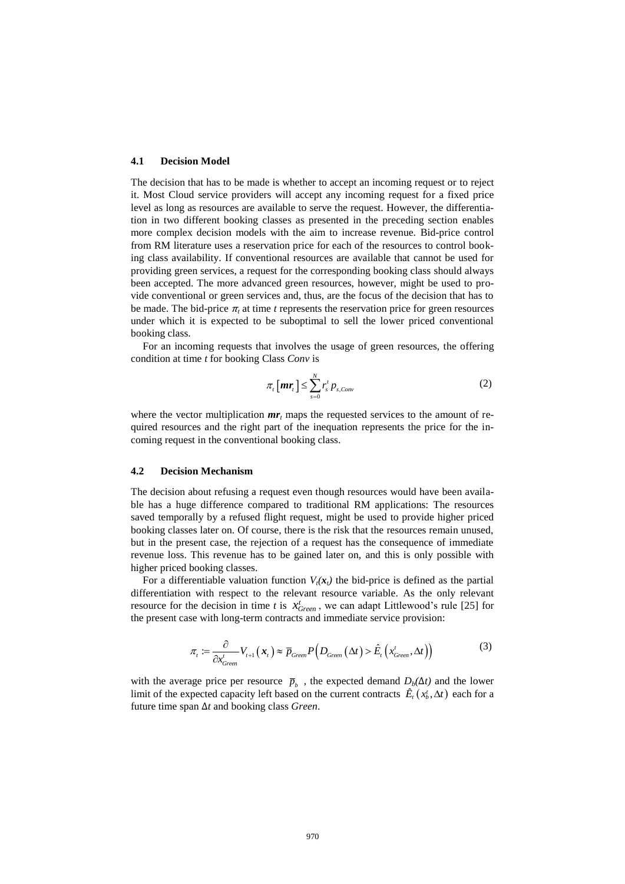#### **4.1 Decision Model**

The decision that has to be made is whether to accept an incoming request or to reject it. Most Cloud service providers will accept any incoming request for a fixed price level as long as resources are available to serve the request. However, the differentiation in two different booking classes as presented in the preceding section enables more complex decision models with the aim to increase revenue. Bid-price control from RM literature uses a reservation price for each of the resources to control booking class availability. If conventional resources are available that cannot be used for providing green services, a request for the corresponding booking class should always been accepted. The more advanced green resources, however, might be used to provide conventional or green services and, thus, are the focus of the decision that has to be made. The bid-price  $\pi$ , at time *t* represents the reservation price for green resources under which it is expected to be suboptimal to sell the lower priced conventional booking class.

For an incoming requests that involves the usage of green resources, the offering condition at time *t* for booking Class *Conv* is

$$
\pi_t\left[\boldsymbol{m}\boldsymbol{r}_t\right] \le \sum_{s=0}^N r_s^t \, p_{s, \text{Conv}} \tag{2}
$$

where the vector multiplication  $mr_t$  maps the requested services to the amount of required resources and the right part of the inequation represents the price for the incoming request in the conventional booking class.

#### **4.2 Decision Mechanism**

The decision about refusing a request even though resources would have been available has a huge difference compared to traditional RM applications: The resources saved temporally by a refused flight request, might be used to provide higher priced booking classes later on. Of course, there is the risk that the resources remain unused, but in the present case, the rejection of a request has the consequence of immediate revenue loss. This revenue has to be gained later on, and this is only possible with higher priced booking classes.

For a differentiable valuation function  $V_i(x)$  the bid-price is defined as the partial differentiation with respect to the relevant resource variable. As the only relevant resource for the decision in time *t* is  $x_{Green}^t$ , we can adapt Littlewood's rule [\[25\]](#page-15-13) for the present case with long-term contracts and immediate service provision:

$$
\pi_{t} := \frac{\partial}{\partial x_{Green}^{t}} V_{t+1}(\boldsymbol{x}_{t}) \approx \overline{p}_{Green} P\left(D_{Green}(\Delta t) > \hat{E}_{t}\left(x_{Green}^{t}, \Delta t\right)\right)
$$
(3)

with the average price per resource  $\bar{p}_b$ , the expected demand  $D_b(\Delta t)$  and the lower limit of the expected capacity left based on the current contracts  $\hat{E}_t(x_t^t, \Delta t)$  each for a future time span Δ*t* and booking class *Green*.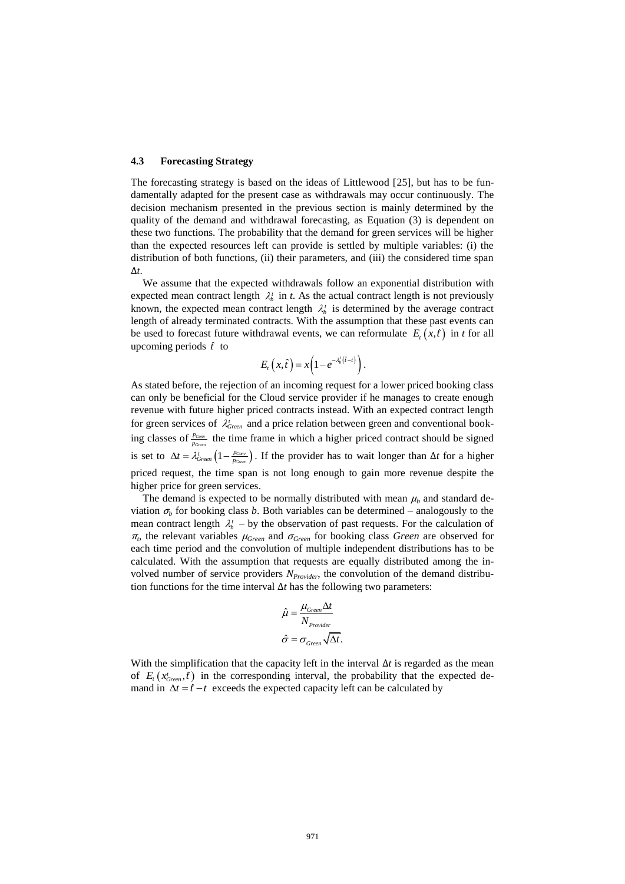#### **4.3 Forecasting Strategy**

The forecasting strategy is based on the ideas of Littlewood [\[25\]](#page-15-13), but has to be fundamentally adapted for the present case as withdrawals may occur continuously. The decision mechanism presented in the previous section is mainly determined by the quality of the demand and withdrawal forecasting, as Equation (3) is dependent on these two functions. The probability that the demand for green services will be higher than the expected resources left can provide is settled by multiple variables: (i) the distribution of both functions, (ii) their parameters, and (iii) the considered time span Δ*t*.

We assume that the expected withdrawals follow an exponential distribution with expected mean contract length  $\lambda_b^t$  in *t*. As the actual contract length is not previously known, the expected mean contract length  $\lambda_b^t$  is determined by the average contract length of already terminated contracts. With the assumption that these past events can be used to forecast future withdrawal events, we can reformulate  $E_t(x, \hat{t})$  in *t* for all upcoming periods *t*ˆ to

$$
E_t(x,\hat{t})=x\left(1-e^{-\lambda_b^t(\hat{t}-t)}\right).
$$

As stated before, the rejection of an incoming request for a lower priced booking class can only be beneficial for the Cloud service provider if he manages to create enough revenue with future higher priced contracts instead. With an expected contract length for green services of  $\lambda_{Green}^{t}$  and a price relation between green and conventional booking classes of  $\frac{p_{Com}}{p}$ *Green p*  $\frac{p_{\text{Conv}}}{p_{\text{Circum}}}$  the time frame in which a higher priced contract should be signed is set to  $\Delta t = \lambda_{Green}^t \left(1 - \frac{p_{Com}}{p_{Green}}\right)$ . If the provider has to wait longer than  $\Delta t$  for a higher priced request, the time span is not long enough to gain more revenue despite the higher price for green services.

The demand is expected to be normally distributed with mean  $\mu_b$  and standard deviation  $\sigma_b$  for booking class *b*. Both variables can be determined – analogously to the mean contract length  $\lambda_b^t$  – by the observation of past requests. For the calculation of <sup>π</sup>*t* , the relevant variables <sup>μ</sup>*Green* and <sup>σ</sup>*Green* for booking class *Green* are observed for each time period and the convolution of multiple independent distributions has to be calculated. With the assumption that requests are equally distributed among the involved number of service providers *NProvider*, the convolution of the demand distribution functions for the time interval  $\Delta t$  has the following two parameters:

$$
\hat{\mu} = \frac{\mu_{Green} \Delta t}{N_{Provider}}
$$

$$
\hat{\sigma} = \sigma_{Green} \sqrt{\Delta t}.
$$

With the simplification that the capacity left in the interval  $\Delta t$  is regarded as the mean of  $E_t(x_{Green}^t, \hat{t})$  in the corresponding interval, the probability that the expected demand in  $\Delta t = \hat{t} - t$  exceeds the expected capacity left can be calculated by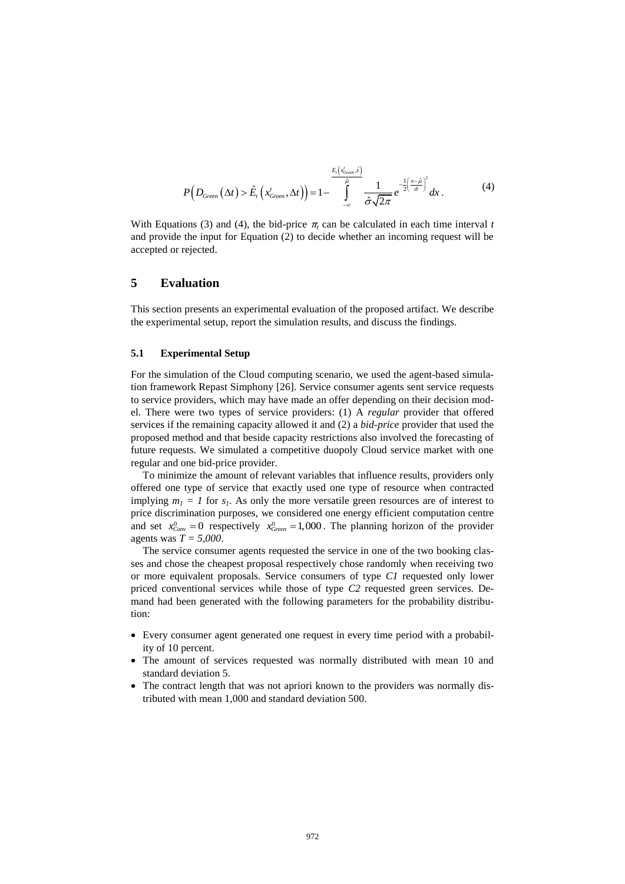$$
P(D_{Green}(\Delta t) > \hat{E}_t(x_{Green}^t, \Delta t)) = 1 - \int_{-\infty}^{\frac{E_t(x_{Green}^t, \hat{t})}{\hat{\rho}}} \frac{1}{\hat{\sigma}\sqrt{2\pi}} e^{-\frac{1}{2}\left(\frac{x-\hat{\mu}}{\hat{\sigma}}\right)^2} dx.
$$
 (4)

With Equations (3) and (4), the bid-price  $\pi_t$  can be calculated in each time interval *t* and provide the input for Equation (2) to decide whether an incoming request will be accepted or rejected.

# **5 Evaluation**

This section presents an experimental evaluation of the proposed artifact. We describe the experimental setup, report the simulation results, and discuss the findings.

#### **5.1 Experimental Setup**

For the simulation of the Cloud computing scenario, we used the agent-based simulation framework Repast Simphony [\[26\]](#page-15-14). Service consumer agents sent service requests to service providers, which may have made an offer depending on their decision model. There were two types of service providers: (1) A *regular* provider that offered services if the remaining capacity allowed it and (2) a *bid-price* provider that used the proposed method and that beside capacity restrictions also involved the forecasting of future requests. We simulated a competitive duopoly Cloud service market with one regular and one bid-price provider.

To minimize the amount of relevant variables that influence results, providers only offered one type of service that exactly used one type of resource when contracted implying  $m_1 = 1$  for  $s_1$ . As only the more versatile green resources are of interest to price discrimination purposes, we considered one energy efficient computation centre and set  $x_{\text{Conv}}^0 = 0$  respectively  $x_{\text{Green}}^0 = 1,000$ . The planning horizon of the provider agents was *T = 5,000*.

The service consumer agents requested the service in one of the two booking classes and chose the cheapest proposal respectively chose randomly when receiving two or more equivalent proposals. Service consumers of type *C1* requested only lower priced conventional services while those of type *C2* requested green services. Demand had been generated with the following parameters for the probability distribution:

- Every consumer agent generated one request in every time period with a probability of 10 percent.
- The amount of services requested was normally distributed with mean 10 and standard deviation 5.
- The contract length that was not apriori known to the providers was normally distributed with mean 1,000 and standard deviation 500.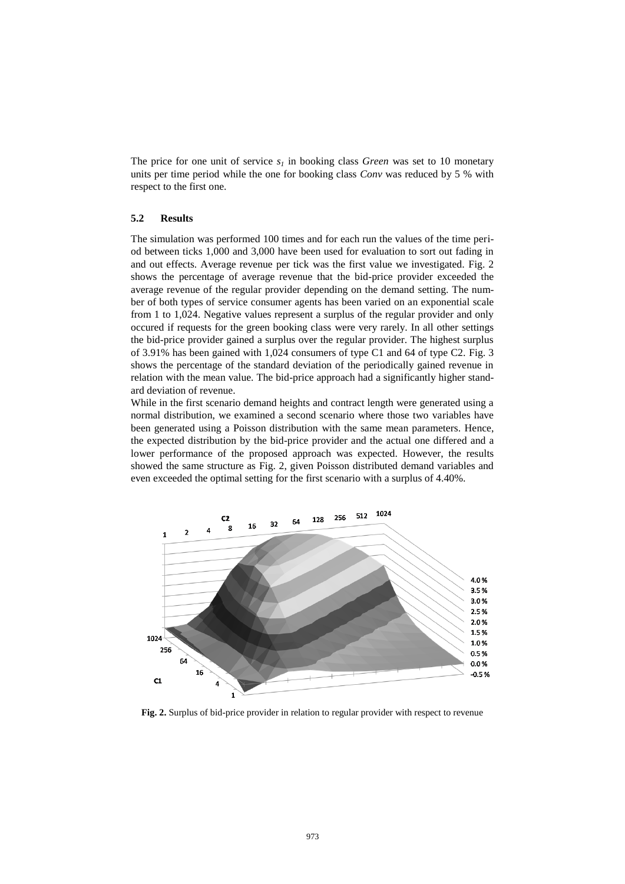The price for one unit of service  $s<sub>l</sub>$  in booking class *Green* was set to 10 monetary units per time period while the one for booking class *Conv* was reduced by 5 % with respect to the first one.

### **5.2 Results**

The simulation was performed 100 times and for each run the values of the time period between ticks 1,000 and 3,000 have been used for evaluation to sort out fading in and out effects. Average revenue per tick was the first value we investigated. Fig. 2 shows the percentage of average revenue that the bid-price provider exceeded the average revenue of the regular provider depending on the demand setting. The number of both types of service consumer agents has been varied on an exponential scale from 1 to 1,024. Negative values represent a surplus of the regular provider and only occured if requests for the green booking class were very rarely. In all other settings the bid-price provider gained a surplus over the regular provider. The highest surplus of 3.91% has been gained with 1,024 consumers of type C1 and 64 of type C2. Fig. 3 shows the percentage of the standard deviation of the periodically gained revenue in relation with the mean value. The bid-price approach had a significantly higher standard deviation of revenue.

While in the first scenario demand heights and contract length were generated using a normal distribution, we examined a second scenario where those two variables have been generated using a Poisson distribution with the same mean parameters. Hence, the expected distribution by the bid-price provider and the actual one differed and a lower performance of the proposed approach was expected. However, the results showed the same structure as Fig. 2, given Poisson distributed demand variables and even exceeded the optimal setting for the first scenario with a surplus of 4.40%.



**Fig. 2.** Surplus of bid-price provider in relation to regular provider with respect to revenue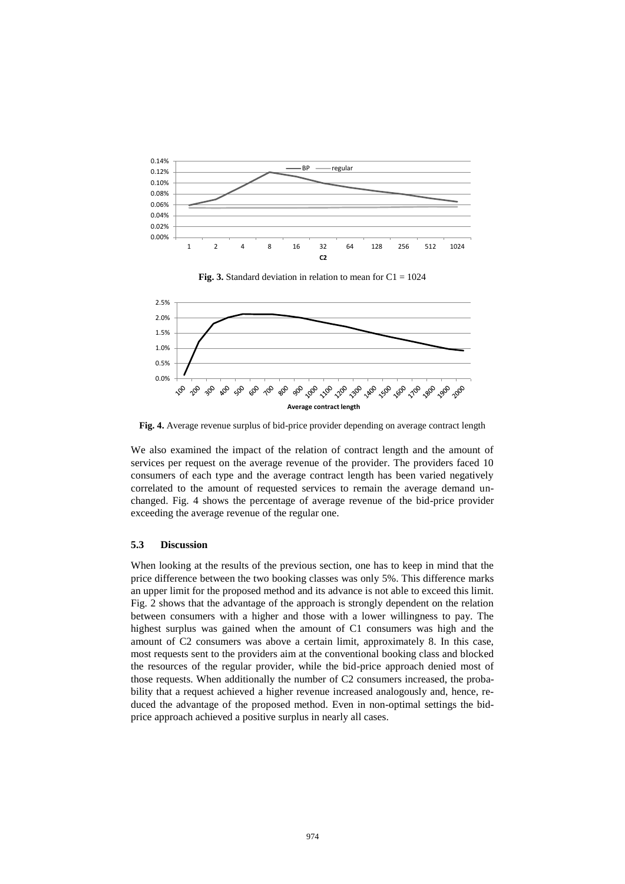





**Fig. 4.** Average revenue surplus of bid-price provider depending on average contract length

We also examined the impact of the relation of contract length and the amount of services per request on the average revenue of the provider. The providers faced 10 consumers of each type and the average contract length has been varied negatively correlated to the amount of requested services to remain the average demand unchanged. Fig. 4 shows the percentage of average revenue of the bid-price provider exceeding the average revenue of the regular one.

#### **5.3 Discussion**

When looking at the results of the previous section, one has to keep in mind that the price difference between the two booking classes was only 5%. This difference marks an upper limit for the proposed method and its advance is not able to exceed this limit. Fig. 2 shows that the advantage of the approach is strongly dependent on the relation between consumers with a higher and those with a lower willingness to pay. The highest surplus was gained when the amount of C1 consumers was high and the amount of C2 consumers was above a certain limit, approximately 8. In this case, most requests sent to the providers aim at the conventional booking class and blocked the resources of the regular provider, while the bid-price approach denied most of those requests. When additionally the number of C2 consumers increased, the probability that a request achieved a higher revenue increased analogously and, hence, reduced the advantage of the proposed method. Even in non-optimal settings the bidprice approach achieved a positive surplus in nearly all cases.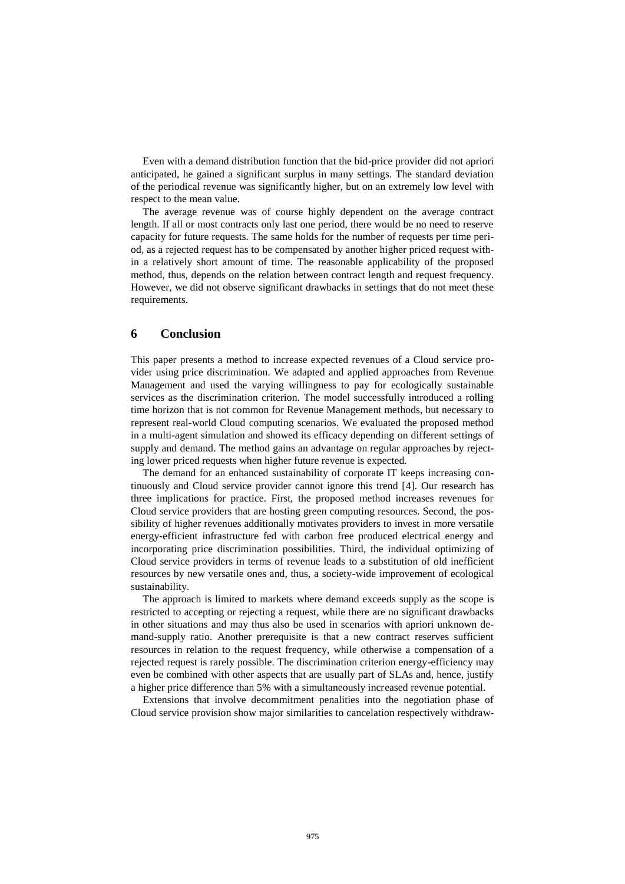Even with a demand distribution function that the bid-price provider did not apriori anticipated, he gained a significant surplus in many settings. The standard deviation of the periodical revenue was significantly higher, but on an extremely low level with respect to the mean value.

The average revenue was of course highly dependent on the average contract length. If all or most contracts only last one period, there would be no need to reserve capacity for future requests. The same holds for the number of requests per time period, as a rejected request has to be compensated by another higher priced request within a relatively short amount of time. The reasonable applicability of the proposed method, thus, depends on the relation between contract length and request frequency. However, we did not observe significant drawbacks in settings that do not meet these requirements.

## **6 Conclusion**

This paper presents a method to increase expected revenues of a Cloud service provider using price discrimination. We adapted and applied approaches from Revenue Management and used the varying willingness to pay for ecologically sustainable services as the discrimination criterion. The model successfully introduced a rolling time horizon that is not common for Revenue Management methods, but necessary to represent real-world Cloud computing scenarios. We evaluated the proposed method in a multi-agent simulation and showed its efficacy depending on different settings of supply and demand. The method gains an advantage on regular approaches by rejecting lower priced requests when higher future revenue is expected.

The demand for an enhanced sustainability of corporate IT keeps increasing continuously and Cloud service provider cannot ignore this trend [\[4\]](#page-14-3). Our research has three implications for practice. First, the proposed method increases revenues for Cloud service providers that are hosting green computing resources. Second, the possibility of higher revenues additionally motivates providers to invest in more versatile energy-efficient infrastructure fed with carbon free produced electrical energy and incorporating price discrimination possibilities. Third, the individual optimizing of Cloud service providers in terms of revenue leads to a substitution of old inefficient resources by new versatile ones and, thus, a society-wide improvement of ecological sustainability.

The approach is limited to markets where demand exceeds supply as the scope is restricted to accepting or rejecting a request, while there are no significant drawbacks in other situations and may thus also be used in scenarios with apriori unknown demand-supply ratio. Another prerequisite is that a new contract reserves sufficient resources in relation to the request frequency, while otherwise a compensation of a rejected request is rarely possible. The discrimination criterion energy-efficiency may even be combined with other aspects that are usually part of SLAs and, hence, justify a higher price difference than 5% with a simultaneously increased revenue potential.

Extensions that involve decommitment penalities into the negotiation phase of Cloud service provision show major similarities to cancelation respectively withdraw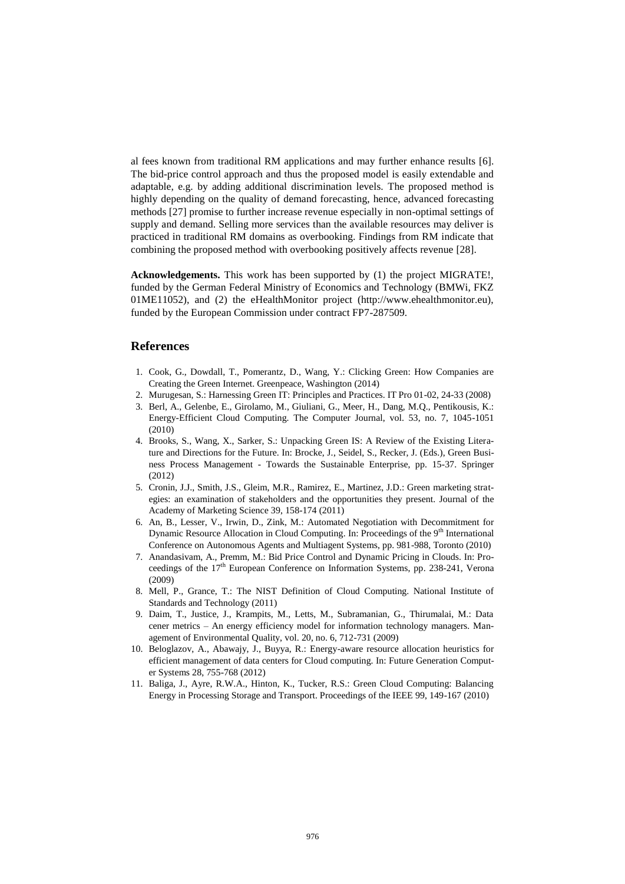al fees known from traditional RM applications and may further enhance results [\[6\]](#page-14-5). The bid-price control approach and thus the proposed model is easily extendable and adaptable, e.g. by adding additional discrimination levels. The proposed method is highly depending on the quality of demand forecasting, hence, advanced forecasting methods [\[27\]](#page-15-15) promise to further increase revenue especially in non-optimal settings of supply and demand. Selling more services than the available resources may deliver is practiced in traditional RM domains as overbooking. Findings from RM indicate that combining the proposed method with overbooking positively affects revenue [\[28\]](#page-15-16).

**Acknowledgements.** This work has been supported by (1) the project MIGRATE!, funded by the German Federal Ministry of Economics and Technology (BMWi, FKZ 01ME11052), and (2) the eHealthMonitor project (http://www.ehealthmonitor.eu), funded by the European Commission under contract FP7-287509.

#### **References**

- <span id="page-14-0"></span>1. Cook, G., Dowdall, T., Pomerantz, D., Wang, Y.: Clicking Green: How Companies are Creating the Green Internet. Greenpeace, Washington (2014)
- <span id="page-14-1"></span>2. Murugesan, S.: Harnessing Green IT: Principles and Practices. IT Pro 01-02, 24-33 (2008)
- <span id="page-14-2"></span>3. Berl, A., Gelenbe, E., Girolamo, M., Giuliani, G., Meer, H., Dang, M.Q., Pentikousis, K.: Energy-Efficient Cloud Computing. The Computer Journal, vol. 53, no. 7, 1045-1051 (2010)
- <span id="page-14-3"></span>4. Brooks, S., Wang, X., Sarker, S.: Unpacking Green IS: A Review of the Existing Literature and Directions for the Future. In: Brocke, J., Seidel, S., Recker, J. (Eds.), Green Business Process Management - Towards the Sustainable Enterprise, pp. 15-37. Springer (2012)
- <span id="page-14-4"></span>5. Cronin, J.J., Smith, J.S., Gleim, M.R., Ramirez, E., Martinez, J.D.: Green marketing strategies: an examination of stakeholders and the opportunities they present. Journal of the Academy of Marketing Science 39, 158-174 (2011)
- <span id="page-14-5"></span>6. An, B., Lesser, V., Irwin, D., Zink, M.: Automated Negotiation with Decommitment for Dynamic Resource Allocation in Cloud Computing. In: Proceedings of the 9<sup>th</sup> International Conference on Autonomous Agents and Multiagent Systems, pp. 981-988, Toronto (2010)
- <span id="page-14-6"></span>7. Anandasivam, A., Premm, M.: Bid Price Control and Dynamic Pricing in Clouds. In: Proceedings of the 17<sup>th</sup> European Conference on Information Systems, pp. 238-241, Verona (2009)
- <span id="page-14-7"></span>8. Mell, P., Grance, T.: The NIST Definition of Cloud Computing. National Institute of Standards and Technology (2011)
- <span id="page-14-8"></span>9. Daim, T., Justice, J., Krampits, M., Letts, M., Subramanian, G., Thirumalai, M.: Data cener metrics – An energy efficiency model for information technology managers. Management of Environmental Quality, vol. 20, no. 6, 712-731 (2009)
- <span id="page-14-9"></span>10. Beloglazov, A., Abawajy, J., Buyya, R.: Energy-aware resource allocation heuristics for efficient management of data centers for Cloud computing. In: Future Generation Computer Systems 28, 755-768 (2012)
- <span id="page-14-10"></span>11. Baliga, J., Ayre, R.W.A., Hinton, K., Tucker, R.S.: Green Cloud Computing: Balancing Energy in Processing Storage and Transport. Proceedings of the IEEE 99, 149-167 (2010)